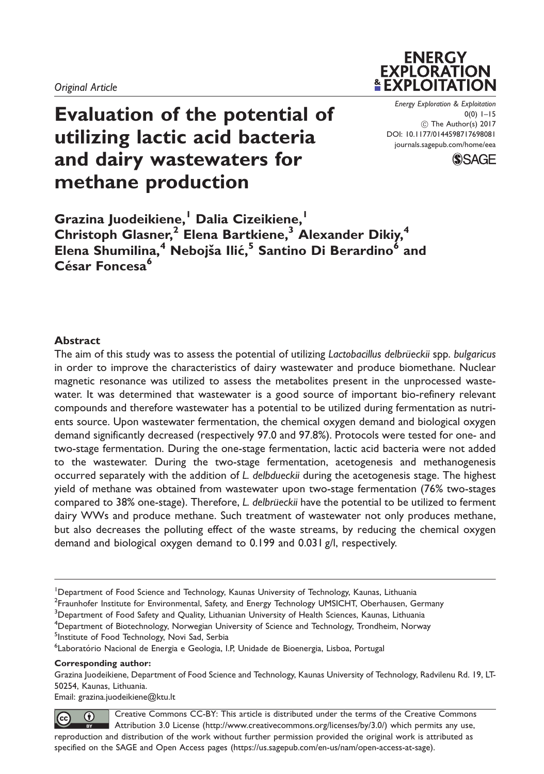# Evaluation of the potential of utilizing lactic acid bacteria and dairy wastewaters for methane production

Energy Exploration & Exploitation 0(0) 1–15 ! The Author(s) 2017 DOI: [10.1177/0144598717698081](https://doi.org/10.1177/0144598717698081) <journals.sagepub.com/home/eea>

**ENERGY EXPLORATION** *LEXPLOITATION* 



Grazina Juodeikiene,<sup>1</sup> Dalia Cizeikiene,<sup>1</sup> Christoph Glasner,<sup>2</sup> Elena Bartkiene,<sup>3</sup> Alexander Dikiy,<sup>4</sup> Elena Shumilina,<sup>4</sup> Nebojša Ilić,<sup>5</sup> Santino Di Berardino<sup>6</sup> and César Foncesa<sup>6</sup>

## Abstract

The aim of this study was to assess the potential of utilizing Lactobacillus delbrüeckii spp. bulgaricus in order to improve the characteristics of dairy wastewater and produce biomethane. Nuclear magnetic resonance was utilized to assess the metabolites present in the unprocessed wastewater. It was determined that wastewater is a good source of important bio-refinery relevant compounds and therefore wastewater has a potential to be utilized during fermentation as nutrients source. Upon wastewater fermentation, the chemical oxygen demand and biological oxygen demand significantly decreased (respectively 97.0 and 97.8%). Protocols were tested for one- and two-stage fermentation. During the one-stage fermentation, lactic acid bacteria were not added to the wastewater. During the two-stage fermentation, acetogenesis and methanogenesis occurred separately with the addition of L. delbdueckii during the acetogenesis stage. The highest yield of methane was obtained from wastewater upon two-stage fermentation (76% two-stages compared to 38% one-stage). Therefore, L. delbrüeckii have the potential to be utilized to ferment dairy WWs and produce methane. Such treatment of wastewater not only produces methane, but also decreases the polluting effect of the waste streams, by reducing the chemical oxygen demand and biological oxygen demand to 0.199 and 0.031 g/l, respectively.

<sup>2</sup> Fraunhofer Institute for Environmental, Safety, and Energy Technology UMSICHT, Oberhausen, Germany

4 Department of Biotechnology, Norwegian University of Science and Technology, Trondheim, Norway <sup>5</sup>Institute of Food Technology, Novi Sad, Serbia

Corresponding author:

Grazina Juodeikiene, Department of Food Science and Technology, Kaunas University of Technology, Radvilenu Rd. 19, LT-50254, Kaunas, Lithuania.

Email: grazina.juodeikiene@ktu.lt

Creative Commons CC-BY: This article is distributed under the terms of the Creative Commons 0  $\left[\!\left(\mathrm{cc}\right)\!\right]$ Attribution 3.0 License (http://www.creativecommons.org/licenses/by/3.0/) which permits any use, reproduction and distribution of the work without further permission provided the original work is attributed as specified on the SAGE and Open Access pages (https://us.sagepub.com/en-us/nam/open-access-at-sage).

<sup>&</sup>lt;sup>1</sup>Department of Food Science and Technology, Kaunas University of Technology, Kaunas, Lithuania

 $^3$ Department of Food Safety and Quality, Lithuanian University of Health Sciences, Kaunas, Lithuania

<sup>&</sup>lt;sup>6</sup>Laboratório Nacional de Energia e Geologia, I.P, Unidade de Bioenergia, Lisboa, Portugal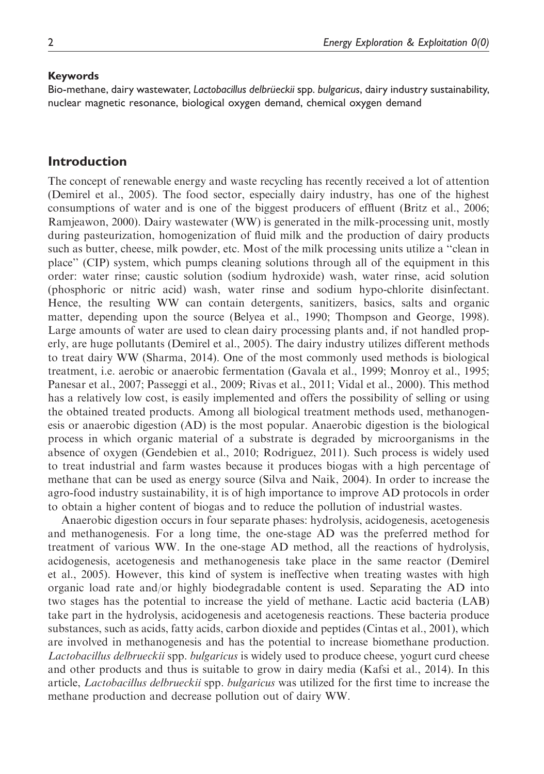#### Keywords

Bio-methane, dairy wastewater, Lactobacillus delbrüeckii spp. bulgaricus, dairy industry sustainability, nuclear magnetic resonance, biological oxygen demand, chemical oxygen demand

# Introduction

The concept of renewable energy and waste recycling has recently received a lot of attention (Demirel et al., 2005). The food sector, especially dairy industry, has one of the highest consumptions of water and is one of the biggest producers of effluent (Britz et al., 2006; Ramjeawon, 2000). Dairy wastewater (WW) is generated in the milk-processing unit, mostly during pasteurization, homogenization of fluid milk and the production of dairy products such as butter, cheese, milk powder, etc. Most of the milk processing units utilize a ''clean in place'' (CIP) system, which pumps cleaning solutions through all of the equipment in this order: water rinse; caustic solution (sodium hydroxide) wash, water rinse, acid solution (phosphoric or nitric acid) wash, water rinse and sodium hypo-chlorite disinfectant. Hence, the resulting WW can contain detergents, sanitizers, basics, salts and organic matter, depending upon the source (Belyea et al., 1990; Thompson and George, 1998). Large amounts of water are used to clean dairy processing plants and, if not handled properly, are huge pollutants (Demirel et al., 2005). The dairy industry utilizes different methods to treat dairy WW (Sharma, 2014). One of the most commonly used methods is biological treatment, i.e. aerobic or anaerobic fermentation (Gavala et al., 1999; Monroy et al., 1995; Panesar et al., 2007; Passeggi et al., 2009; Rivas et al., 2011; Vidal et al., 2000). This method has a relatively low cost, is easily implemented and offers the possibility of selling or using the obtained treated products. Among all biological treatment methods used, methanogenesis or anaerobic digestion (AD) is the most popular. Anaerobic digestion is the biological process in which organic material of a substrate is degraded by microorganisms in the absence of oxygen (Gendebien et al., 2010; Rodriguez, 2011). Such process is widely used to treat industrial and farm wastes because it produces biogas with a high percentage of methane that can be used as energy source (Silva and Naik, 2004). In order to increase the agro-food industry sustainability, it is of high importance to improve AD protocols in order to obtain a higher content of biogas and to reduce the pollution of industrial wastes.

Anaerobic digestion occurs in four separate phases: hydrolysis, acidogenesis, acetogenesis and methanogenesis. For a long time, the one-stage AD was the preferred method for treatment of various WW. In the one-stage AD method, all the reactions of hydrolysis, acidogenesis, acetogenesis and methanogenesis take place in the same reactor (Demirel et al., 2005). However, this kind of system is ineffective when treating wastes with high organic load rate and/or highly biodegradable content is used. Separating the AD into two stages has the potential to increase the yield of methane. Lactic acid bacteria (LAB) take part in the hydrolysis, acidogenesis and acetogenesis reactions. These bacteria produce substances, such as acids, fatty acids, carbon dioxide and peptides (Cintas et al., 2001), which are involved in methanogenesis and has the potential to increase biomethane production. Lactobacillus delbrueckii spp. bulgaricus is widely used to produce cheese, yogurt curd cheese and other products and thus is suitable to grow in dairy media (Kafsi et al., 2014). In this article, Lactobacillus delbrueckii spp. bulgaricus was utilized for the first time to increase the methane production and decrease pollution out of dairy WW.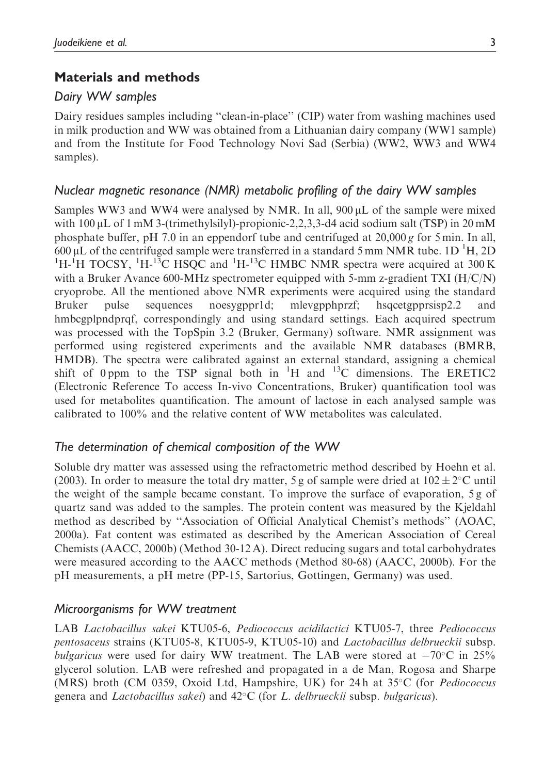# Materials and methods

# Dairy WW samples

Dairy residues samples including ''clean-in-place'' (CIP) water from washing machines used in milk production and WW was obtained from a Lithuanian dairy company (WW1 sample) and from the Institute for Food Technology Novi Sad (Serbia) (WW2, WW3 and WW4 samples).

## Nuclear magnetic resonance (NMR) metabolic profiling of the dairy WW samples

Samples WW3 and WW4 were analysed by NMR. In all,  $900 \mu L$  of the sample were mixed with  $100 \mu L$  of 1 mM 3-(trimethylsilyl)-propionic-2,2,3,3-d4 acid sodium salt (TSP) in 20 mM phosphate buffer, pH 7.0 in an eppendorf tube and centrifuged at  $20,000 g$  for 5 min. In all,  $600 \mu L$  of the centrifuged sample were transferred in a standard 5 mm NMR tube. 1D <sup>1</sup>H, 2D <sup>1</sup>H-<sup>1</sup>H TOCSY, <sup>1</sup>H-<sup>13</sup>C HSQC and <sup>1</sup>H-<sup>13</sup>C HMBC NMR spectra were acquired at 300 K with a Bruker Avance 600-MHz spectrometer equipped with 5-mm z-gradient TXI (H/C/N) cryoprobe. All the mentioned above NMR experiments were acquired using the standard Bruker pulse sequences noesygppr1d; mlevgpphprzf; hsqcetgpprsisp2.2 and hmbcgplpndprqf, correspondingly and using standard settings. Each acquired spectrum was processed with the TopSpin 3.2 (Bruker, Germany) software. NMR assignment was performed using registered experiments and the available NMR databases (BMRB, HMDB). The spectra were calibrated against an external standard, assigning a chemical shift of 0 ppm to the TSP signal both in  ${}^{1}H$  and  ${}^{13}C$  dimensions. The ERETIC2 (Electronic Reference To access In-vivo Concentrations, Bruker) quantification tool was used for metabolites quantification. The amount of lactose in each analysed sample was calibrated to 100% and the relative content of WW metabolites was calculated.

# The determination of chemical composition of the WW

Soluble dry matter was assessed using the refractometric method described by Hoehn et al. (2003). In order to measure the total dry matter, 5 g of sample were dried at  $102 \pm 2^{\circ}$ C until the weight of the sample became constant. To improve the surface of evaporation, 5 g of quartz sand was added to the samples. The protein content was measured by the Kjeldahl method as described by ''Association of Official Analytical Chemist's methods'' (AOAC, 2000a). Fat content was estimated as described by the American Association of Cereal Chemists (AACC, 2000b) (Method 30-12 A). Direct reducing sugars and total carbohydrates were measured according to the AACC methods (Method 80-68) (AACC, 2000b). For the pH measurements, a pH metre (PP-15, Sartorius, Gottingen, Germany) was used.

# Microorganisms for WW treatment

LAB Lactobacillus sakei KTU05-6, Pediococcus acidilactici KTU05-7, three Pediococcus pentosaceus strains (KTU05-8, KTU05-9, KTU05-10) and Lactobacillus delbrueckii subsp. bulgaricus were used for dairy WW treatment. The LAB were stored at  $-70^{\circ}$ C in 25% glycerol solution. LAB were refreshed and propagated in a de Man, Rogosa and Sharpe (MRS) broth (CM 0359, Oxoid Ltd, Hampshire, UK) for 24 h at  $35^{\circ}$ C (for *Pediococcus* genera and *Lactobacillus sakei*) and  $42^{\circ}$ C (for *L. delbrueckii* subsp. *bulgaricus*).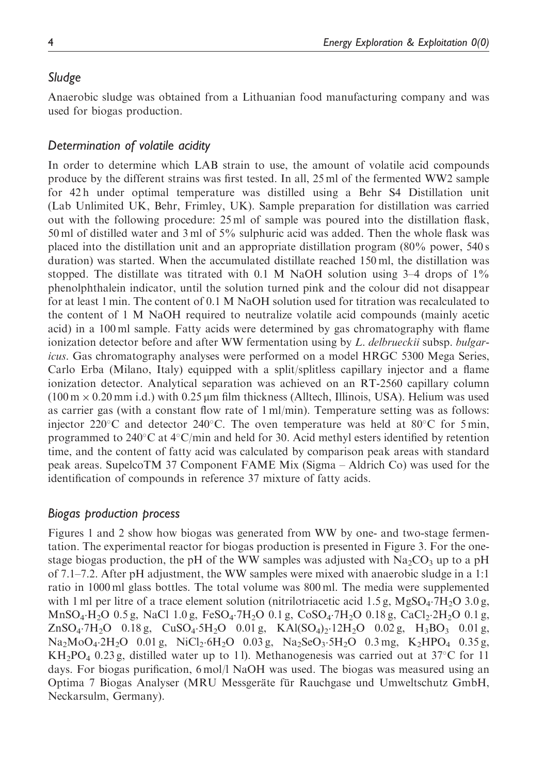# Sludge

Anaerobic sludge was obtained from a Lithuanian food manufacturing company and was used for biogas production.

# Determination of volatile acidity

In order to determine which LAB strain to use, the amount of volatile acid compounds produce by the different strains was first tested. In all, 25 ml of the fermented WW2 sample for 42 h under optimal temperature was distilled using a Behr S4 Distillation unit (Lab Unlimited UK, Behr, Frimley, UK). Sample preparation for distillation was carried out with the following procedure: 25 ml of sample was poured into the distillation flask, 50 ml of distilled water and 3 ml of 5% sulphuric acid was added. Then the whole flask was placed into the distillation unit and an appropriate distillation program (80% power, 540 s duration) was started. When the accumulated distillate reached 150 ml, the distillation was stopped. The distillate was titrated with 0.1 M NaOH solution using  $3-4$  drops of  $1\%$ phenolphthalein indicator, until the solution turned pink and the colour did not disappear for at least 1 min. The content of 0.1 M NaOH solution used for titration was recalculated to the content of 1 M NaOH required to neutralize volatile acid compounds (mainly acetic acid) in a 100 ml sample. Fatty acids were determined by gas chromatography with flame ionization detector before and after WW fermentation using by L. delbrueckii subsp. bulgaricus. Gas chromatography analyses were performed on a model HRGC 5300 Mega Series, Carlo Erba (Milano, Italy) equipped with a split/splitless capillary injector and a flame ionization detector. Analytical separation was achieved on an RT-2560 capillary column  $(100 \text{ m} \times 0.20 \text{ mm } \text{i.d.})$  with 0.25 µm film thickness (Alltech, Illinois, USA). Helium was used as carrier gas (with a constant flow rate of 1 ml/min). Temperature setting was as follows: injector 220 °C and detector 240 °C. The oven temperature was held at  $80^{\circ}$ C for 5 min, programmed to  $240^{\circ}$ C at  $4^{\circ}$ C/min and held for 30. Acid methyl esters identified by retention time, and the content of fatty acid was calculated by comparison peak areas with standard peak areas. SupelcoTM 37 Component FAME Mix (Sigma – Aldrich Co) was used for the identification of compounds in reference 37 mixture of fatty acids.

# Biogas production process

Figures 1 and 2 show how biogas was generated from WW by one- and two-stage fermentation. The experimental reactor for biogas production is presented in Figure 3. For the onestage biogas production, the pH of the WW samples was adjusted with  $Na_2CO_3$  up to a pH of 7.1–7.2. After pH adjustment, the WW samples were mixed with anaerobic sludge in a 1:1 ratio in 1000 ml glass bottles. The total volume was 800 ml. The media were supplemented with 1 ml per litre of a trace element solution (nitrilotriacetic acid 1.5 g, MgSO<sub>4</sub>.7H<sub>2</sub>O 3.0 g,  $MnSO_4\text{·}H_2O$  0.5 g, NaCl 1.0 g, FeSO<sub>4</sub>.7H<sub>2</sub>O 0.1 g, CoSO<sub>4</sub>.7H<sub>2</sub>O 0.18 g, CaCl<sub>2</sub>.2H<sub>2</sub>O 0.1 g,  $ZnSO_4$ .  $7H_2O$  0.18 g,  $CuSO_4$ .  $5H_2O$  0.01 g,  $KAl(SO_4)_2$ .  $12H_2O$  0.02 g,  $H_3BO_3$  0.01 g,  $Na<sub>2</sub>MoO<sub>4</sub>·2H<sub>2</sub>O$  0.01 g, NiCl<sub>2</sub> $·6H<sub>2</sub>O$  0.03 g, Na<sub>2</sub>SeO<sub>3</sub> $·5H<sub>2</sub>O$  0.3 mg, K<sub>2</sub>HPO<sub>4</sub> 0.35 g,  $KH_2PO_4$  0.23 g, distilled water up to 11. Methanogenesis was carried out at 37°C for 11 days. For biogas purification, 6 mol/l NaOH was used. The biogas was measured using an Optima 7 Biogas Analyser (MRU Messgeräte für Rauchgase und Umweltschutz GmbH, Neckarsulm, Germany).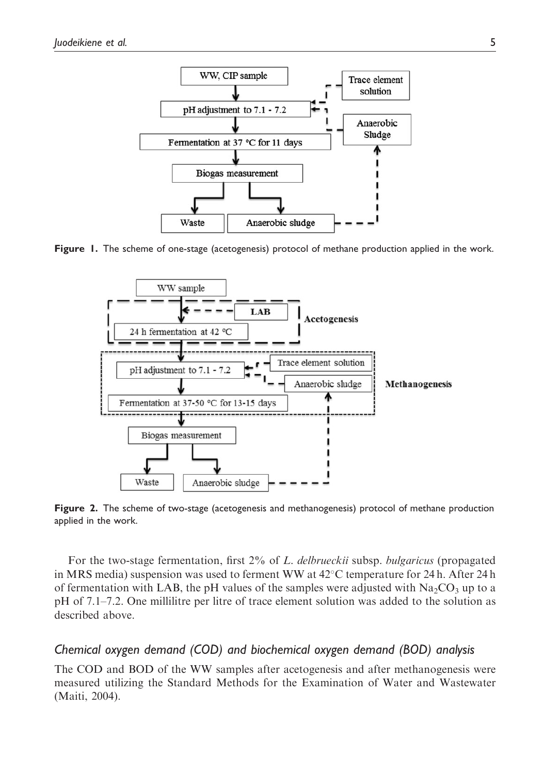

Figure 1. The scheme of one-stage (acetogenesis) protocol of methane production applied in the work.



Figure 2. The scheme of two-stage (acetogenesis and methanogenesis) protocol of methane production applied in the work.

For the two-stage fermentation, first 2% of L. delbrueckii subsp. bulgaricus (propagated in MRS media) suspension was used to ferment WW at  $42^{\circ}$ C temperature for 24 h. After 24 h of fermentation with LAB, the pH values of the samples were adjusted with  $Na_2CO_3$  up to a pH of 7.1–7.2. One millilitre per litre of trace element solution was added to the solution as described above.

# Chemical oxygen demand (COD) and biochemical oxygen demand (BOD) analysis

The COD and BOD of the WW samples after acetogenesis and after methanogenesis were measured utilizing the Standard Methods for the Examination of Water and Wastewater (Maiti, 2004).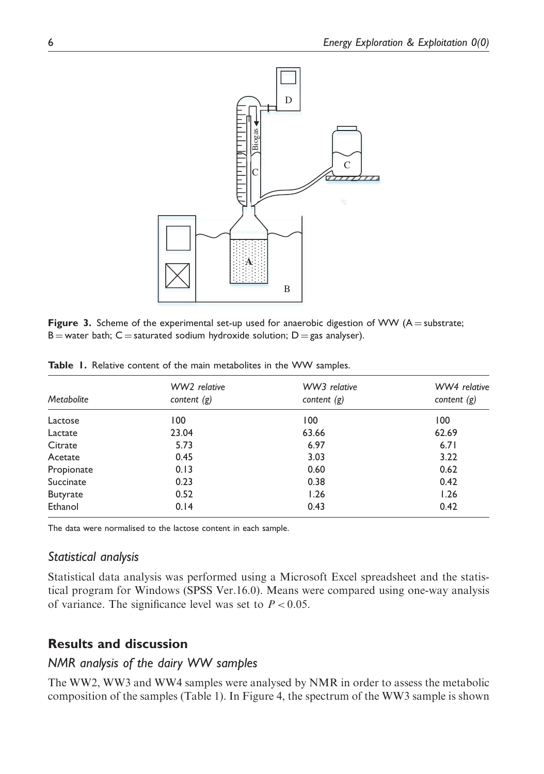

Figure 3. Scheme of the experimental set-up used for anaerobic digestion of WW ( $A =$  substrate; B = water bath; C = saturated sodium hydroxide solution; D = gas analyser).

| <b>Metabolite</b> | WW2 relative<br>content $(g)$ | WW3 relative<br>content $(g)$ | WW4 relative<br>content $(g)$ |  |
|-------------------|-------------------------------|-------------------------------|-------------------------------|--|
|                   |                               |                               |                               |  |
| Lactose           | 100                           | 100                           | 100                           |  |
| Lactate           | 23.04                         | 63.66                         | 62.69                         |  |
| Citrate           | 5.73                          | 6.97                          | 6.71                          |  |
| Acetate           | 0.45                          | 3.03                          | 3.22                          |  |
| Propionate        | 0.13                          | 0.60                          | 0.62                          |  |
| Succinate         | 0.23                          | 0.38                          | 0.42                          |  |
| <b>Butyrate</b>   | 0.52                          | 1.26                          | 1.26                          |  |
| Ethanol           | 0.14                          | 0.43                          | 0.42                          |  |

Table 1. Relative content of the main metabolites in the WW samples.

The data were normalised to the lactose content in each sample.

#### Statistical analysis

Statistical data analysis was performed using a Microsoft Excel spreadsheet and the statistical program for Windows (SPSS Ver.16.0). Means were compared using one-way analysis of variance. The significance level was set to  $P < 0.05$ .

# Results and discussion

# NMR analysis of the dairy WW samples

The WW2, WW3 and WW4 samples were analysed by NMR in order to assess the metabolic composition of the samples (Table 1). In Figure 4, the spectrum of the WW3 sample is shown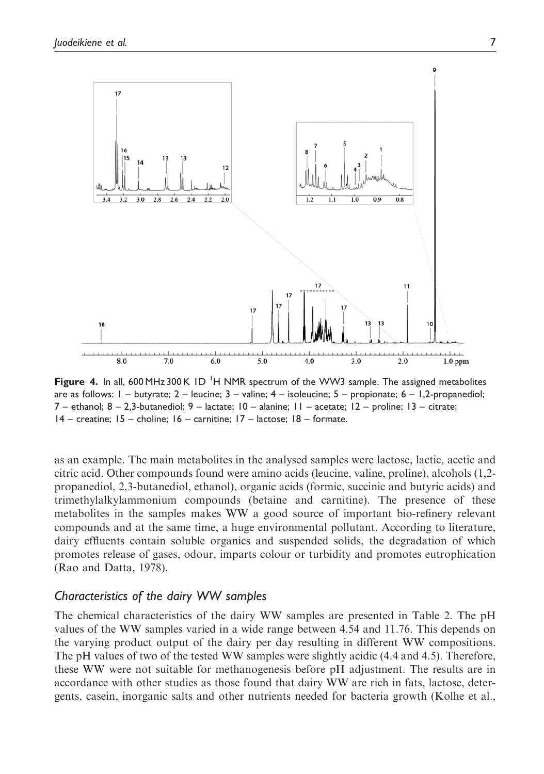![](_page_6_Figure_1.jpeg)

Figure 4. In all, 600 MHz 300 K ID<sup>I</sup>H NMR spectrum of the WW3 sample. The assigned metabolites are as follows:  $1 -$  butyrate;  $2 -$  leucine;  $3 -$  valine;  $4 -$  isoleucine;  $5 -$  propionate;  $6 - 1,2$ -propanediol; 7 – ethanol; 8 – 2,3-butanediol; 9 – lactate; 10 – alanine; 11 – acetate; 12 – proline; 13 – citrate; 14 – creatine; 15 – choline; 16 – carnitine; 17 – lactose; 18 – formate.

as an example. The main metabolites in the analysed samples were lactose, lactic, acetic and citric acid. Other compounds found were amino acids (leucine, valine, proline), alcohols (1,2 propanediol, 2,3-butanediol, ethanol), organic acids (formic, succinic and butyric acids) and trimethylalkylammonium compounds (betaine and carnitine). The presence of these metabolites in the samples makes WW a good source of important bio-refinery relevant compounds and at the same time, a huge environmental pollutant. According to literature, dairy effluents contain soluble organics and suspended solids, the degradation of which promotes release of gases, odour, imparts colour or turbidity and promotes eutrophication (Rao and Datta, 1978).

## Characteristics of the dairy WW samples

The chemical characteristics of the dairy WW samples are presented in Table 2. The pH values of the WW samples varied in a wide range between 4.54 and 11.76. This depends on the varying product output of the dairy per day resulting in different WW compositions. The pH values of two of the tested WW samples were slightly acidic (4.4 and 4.5). Therefore, these WW were not suitable for methanogenesis before pH adjustment. The results are in accordance with other studies as those found that dairy WW are rich in fats, lactose, detergents, casein, inorganic salts and other nutrients needed for bacteria growth (Kolhe et al.,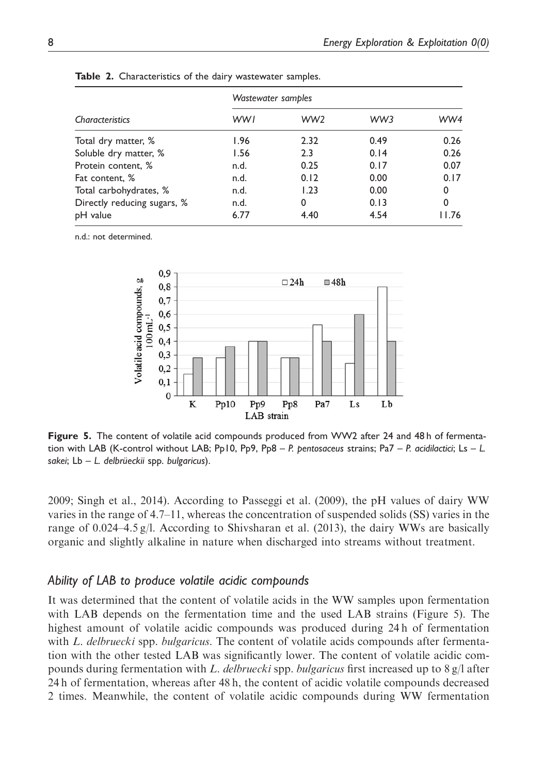|                             | Wastewater samples |                 |      |        |  |
|-----------------------------|--------------------|-----------------|------|--------|--|
| Characteristics             | <b>WWI</b>         | WW <sub>2</sub> | WW3  | WW4    |  |
| Total dry matter, %         | 1.96               | 2.32            | 0.49 | 0.26   |  |
| Soluble dry matter, %       | 1.56               | 2.3             | 0.14 | 0.26   |  |
| Protein content, %          | n.d.               | 0.25            | 0.17 | 0.07   |  |
| Fat content, %              | n.d.               | 0.12            | 0.00 | 0.17   |  |
| Total carbohydrates, %      | n.d.               | 1.23            | 0.00 | 0      |  |
| Directly reducing sugars, % | n.d.               | 0               | 0.13 | 0      |  |
| pH value                    | 6.77               | 4.40            | 4.54 | I I 76 |  |

Table 2. Characteristics of the dairy wastewater samples.

n.d.: not determined.

![](_page_7_Figure_4.jpeg)

Figure 5. The content of volatile acid compounds produced from WW2 after 24 and 48h of fermentation with LAB (K-control without LAB; Pp10, Pp9, Pp8 – P. pentosaceus strains; Pa7 – P. acidilactici; Ls – L. sakei; L $b - L$ . delbrüeckii spp. bulgaricus).

2009; Singh et al., 2014). According to Passeggi et al. (2009), the pH values of dairy WW varies in the range of 4.7–11, whereas the concentration of suspended solids (SS) varies in the range of 0.024–4.5 g/l. According to Shivsharan et al. (2013), the dairy WWs are basically organic and slightly alkaline in nature when discharged into streams without treatment.

# Ability of LAB to produce volatile acidic compounds

It was determined that the content of volatile acids in the WW samples upon fermentation with LAB depends on the fermentation time and the used LAB strains (Figure 5). The highest amount of volatile acidic compounds was produced during 24 h of fermentation with L. delbruecki spp. bulgaricus. The content of volatile acids compounds after fermentation with the other tested LAB was significantly lower. The content of volatile acidic compounds during fermentation with L. delbruecki spp. bulgaricus first increased up to  $8 \text{ g/l}$  after 24 h of fermentation, whereas after 48 h, the content of acidic volatile compounds decreased 2 times. Meanwhile, the content of volatile acidic compounds during WW fermentation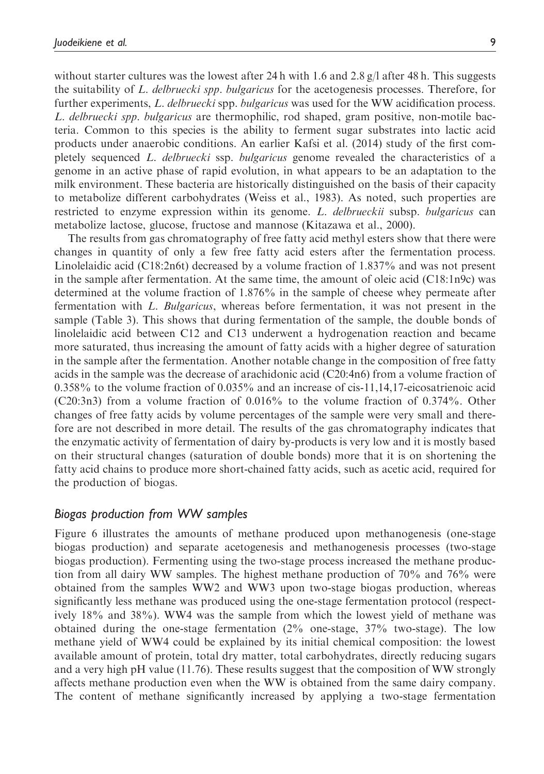without starter cultures was the lowest after 24 h with 1.6 and 2.8  $g/l$  after 48 h. This suggests the suitability of L. delbruecki spp. bulgaricus for the acetogenesis processes. Therefore, for further experiments, L. delbruecki spp. bulgaricus was used for the WW acidification process. L. delbruecki spp. bulgaricus are thermophilic, rod shaped, gram positive, non-motile bacteria. Common to this species is the ability to ferment sugar substrates into lactic acid products under anaerobic conditions. An earlier Kafsi et al. (2014) study of the first completely sequenced L. delbruecki ssp. bulgaricus genome revealed the characteristics of a genome in an active phase of rapid evolution, in what appears to be an adaptation to the milk environment. These bacteria are historically distinguished on the basis of their capacity to metabolize different carbohydrates (Weiss et al., 1983). As noted, such properties are restricted to enzyme expression within its genome. L. delbrueckii subsp. bulgaricus can metabolize lactose, glucose, fructose and mannose (Kitazawa et al., 2000).

The results from gas chromatography of free fatty acid methyl esters show that there were changes in quantity of only a few free fatty acid esters after the fermentation process. Linolelaidic acid (C18:2n6t) decreased by a volume fraction of 1.837% and was not present in the sample after fermentation. At the same time, the amount of oleic acid (C18:1n9c) was determined at the volume fraction of 1.876% in the sample of cheese whey permeate after fermentation with L. Bulgaricus, whereas before fermentation, it was not present in the sample (Table 3). This shows that during fermentation of the sample, the double bonds of linolelaidic acid between C12 and C13 underwent a hydrogenation reaction and became more saturated, thus increasing the amount of fatty acids with a higher degree of saturation in the sample after the fermentation. Another notable change in the composition of free fatty acids in the sample was the decrease of arachidonic acid (C20:4n6) from a volume fraction of 0.358% to the volume fraction of 0.035% and an increase of cis-11,14,17-eicosatrienoic acid (C20:3n3) from a volume fraction of 0.016% to the volume fraction of 0.374%. Other changes of free fatty acids by volume percentages of the sample were very small and therefore are not described in more detail. The results of the gas chromatography indicates that the enzymatic activity of fermentation of dairy by-products is very low and it is mostly based on their structural changes (saturation of double bonds) more that it is on shortening the fatty acid chains to produce more short-chained fatty acids, such as acetic acid, required for the production of biogas.

#### Biogas production from WW samples

Figure 6 illustrates the amounts of methane produced upon methanogenesis (one-stage biogas production) and separate acetogenesis and methanogenesis processes (two-stage biogas production). Fermenting using the two-stage process increased the methane production from all dairy WW samples. The highest methane production of 70% and 76% were obtained from the samples WW2 and WW3 upon two-stage biogas production, whereas significantly less methane was produced using the one-stage fermentation protocol (respectively 18% and 38%). WW4 was the sample from which the lowest yield of methane was obtained during the one-stage fermentation (2% one-stage, 37% two-stage). The low methane yield of WW4 could be explained by its initial chemical composition: the lowest available amount of protein, total dry matter, total carbohydrates, directly reducing sugars and a very high pH value (11.76). These results suggest that the composition of WW strongly affects methane production even when the WW is obtained from the same dairy company. The content of methane significantly increased by applying a two-stage fermentation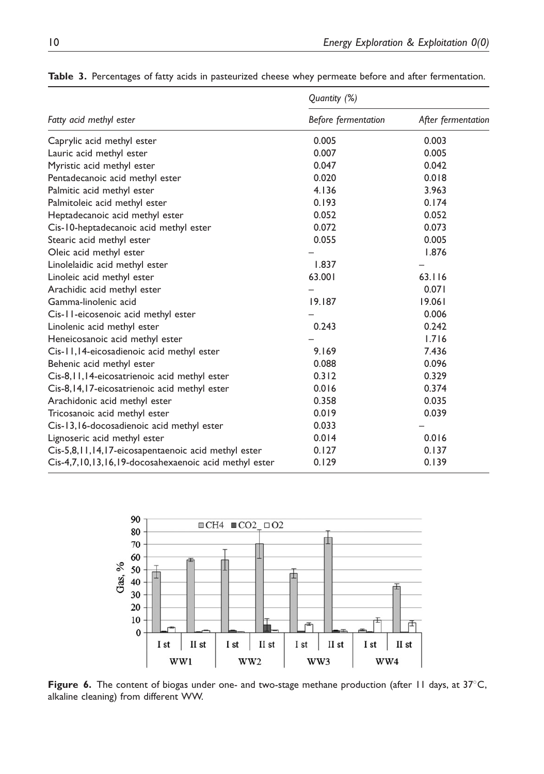|                                                       | Quantity (%)        |                    |  |  |
|-------------------------------------------------------|---------------------|--------------------|--|--|
| Fatty acid methyl ester                               | Before fermentation | After fermentation |  |  |
| Caprylic acid methyl ester                            | 0.005               | 0.003              |  |  |
| Lauric acid methyl ester                              | 0.007               | 0.005              |  |  |
| Myristic acid methyl ester                            | 0.047               | 0.042              |  |  |
| Pentadecanoic acid methyl ester                       | 0.020               | 0.018              |  |  |
| Palmitic acid methyl ester                            | 4.136               | 3.963              |  |  |
| Palmitoleic acid methyl ester                         | 0.193               | 0.174              |  |  |
| Heptadecanoic acid methyl ester                       | 0.052               | 0.052              |  |  |
| Cis-10-heptadecanoic acid methyl ester                | 0.072               | 0.073              |  |  |
| Stearic acid methyl ester                             | 0.055               | 0.005              |  |  |
| Oleic acid methyl ester                               |                     | 1.876              |  |  |
| Linolelaidic acid methyl ester                        | 1.837               |                    |  |  |
| Linoleic acid methyl ester                            | 63.001              | 63.116             |  |  |
| Arachidic acid methyl ester                           |                     | 0.071              |  |  |
| Gamma-linolenic acid                                  | 19.187              | 19.061             |  |  |
| Cis-11-eicosenoic acid methyl ester                   |                     | 0.006              |  |  |
| Linolenic acid methyl ester                           | 0.243               | 0.242              |  |  |
| Heneicosanoic acid methyl ester                       |                     | 1.716              |  |  |
| Cis-11, 14-eicosadienoic acid methyl ester            | 9.169               | 7.436              |  |  |
| Behenic acid methyl ester                             | 0.088               | 0.096              |  |  |
| Cis-8, II, I4-eicosatrienoic acid methyl ester        | 0.312               | 0.329              |  |  |
| Cis-8, 14, 17-eicosatrienoic acid methyl ester        | 0.016               | 0.374              |  |  |
| Arachidonic acid methyl ester                         | 0.358               | 0.035              |  |  |
| Tricosanoic acid methyl ester                         | 0.019               | 0.039              |  |  |
| Cis-13,16-docosadienoic acid methyl ester             | 0.033               |                    |  |  |
| Lignoseric acid methyl ester                          | 0.014               | 0.016              |  |  |
| Cis-5,8,11,14,17-eicosapentaenoic acid methyl ester   | 0.127               | 0.137              |  |  |
| Cis-4,7,10,13,16,19-docosahexaenoic acid methyl ester | 0.129               | 0.139              |  |  |

Table 3. Percentages of fatty acids in pasteurized cheese whey permeate before and after fermentation.

![](_page_9_Figure_3.jpeg)

Figure 6. The content of biogas under one- and two-stage methane production (after 11 days, at  $37^{\circ}$ C, alkaline cleaning) from different WW.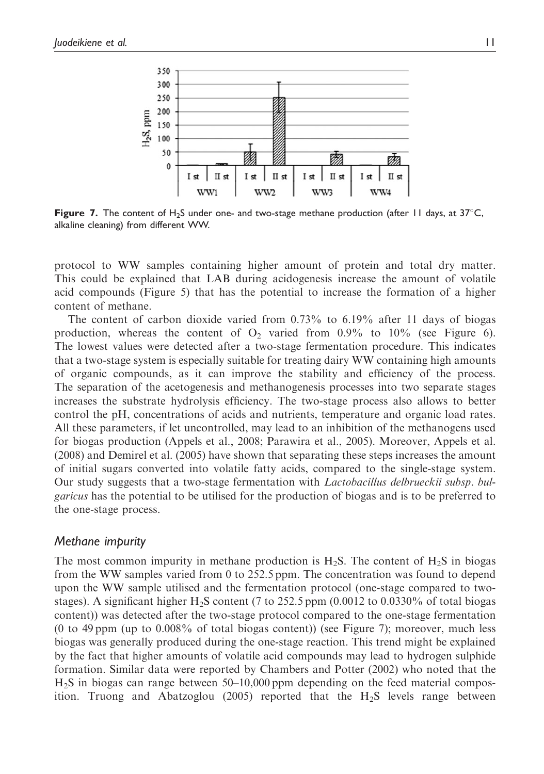![](_page_10_Figure_1.jpeg)

Figure 7. The content of H<sub>2</sub>S under one- and two-stage methane production (after 11 days, at 37°C, alkaline cleaning) from different WW.

protocol to WW samples containing higher amount of protein and total dry matter. This could be explained that LAB during acidogenesis increase the amount of volatile acid compounds (Figure 5) that has the potential to increase the formation of a higher content of methane.

The content of carbon dioxide varied from 0.73% to 6.19% after 11 days of biogas production, whereas the content of  $O_2$  varied from 0.9% to 10% (see Figure 6). The lowest values were detected after a two-stage fermentation procedure. This indicates that a two-stage system is especially suitable for treating dairy WW containing high amounts of organic compounds, as it can improve the stability and efficiency of the process. The separation of the acetogenesis and methanogenesis processes into two separate stages increases the substrate hydrolysis efficiency. The two-stage process also allows to better control the pH, concentrations of acids and nutrients, temperature and organic load rates. All these parameters, if let uncontrolled, may lead to an inhibition of the methanogens used for biogas production (Appels et al., 2008; Parawira et al., 2005). Moreover, Appels et al. (2008) and Demirel et al. (2005) have shown that separating these steps increases the amount of initial sugars converted into volatile fatty acids, compared to the single-stage system. Our study suggests that a two-stage fermentation with Lactobacillus delbrueckii subsp. bulgaricus has the potential to be utilised for the production of biogas and is to be preferred to the one-stage process.

#### Methane impurity

The most common impurity in methane production is  $H_2S$ . The content of  $H_2S$  in biogas from the WW samples varied from 0 to 252.5 ppm. The concentration was found to depend upon the WW sample utilised and the fermentation protocol (one-stage compared to twostages). A significant higher  $H_2S$  content (7 to 252.5 ppm (0.0012 to 0.0330% of total biogas content)) was detected after the two-stage protocol compared to the one-stage fermentation (0 to 49 ppm (up to 0.008% of total biogas content)) (see Figure 7); moreover, much less biogas was generally produced during the one-stage reaction. This trend might be explained by the fact that higher amounts of volatile acid compounds may lead to hydrogen sulphide formation. Similar data were reported by Chambers and Potter (2002) who noted that the H2S in biogas can range between 50–10,000 ppm depending on the feed material composition. Truong and Abatzoglou (2005) reported that the  $H_2S$  levels range between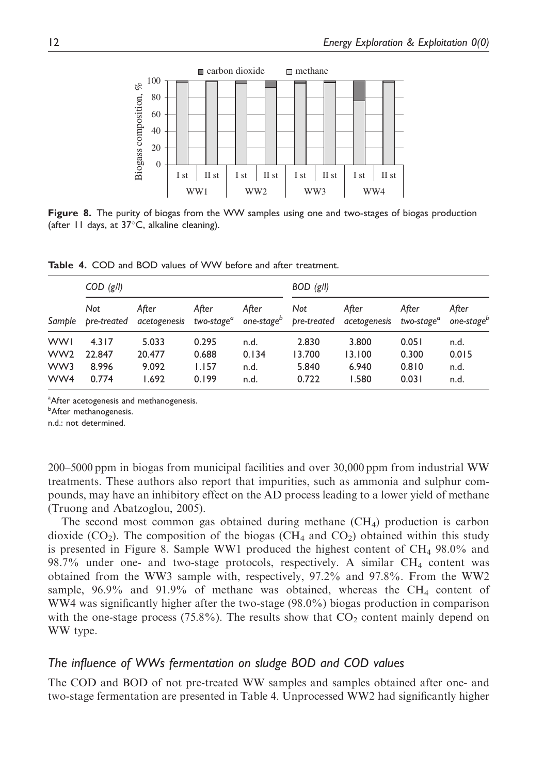![](_page_11_Figure_1.jpeg)

Figure 8. The purity of biogas from the WW samples using one and two-stages of biogas production (after  $11$  days, at  $37^{\circ}$ C, alkaline cleaning).

Table 4. COD and BOD values of WW before and after treatment.

|                                             | $COD$ (g/l)                       |                                   |                                  | $BOD$ (g/l)                   |                                   |                                                                                                                                                               |                                  |                               |
|---------------------------------------------|-----------------------------------|-----------------------------------|----------------------------------|-------------------------------|-----------------------------------|---------------------------------------------------------------------------------------------------------------------------------------------------------------|----------------------------------|-------------------------------|
|                                             | Not                               | After                             | After                            | After                         | Not                               | After<br>Sample pre-treated acetogenesis two-stage <sup>a</sup> one-stage <sup>b</sup> pre-treated acetogenesis two-stage <sup>a</sup> one-stage <sup>b</sup> | After                            | After                         |
| <b>WWI</b><br>WW <sub>2</sub><br>WW3<br>WW4 | 4.317<br>22.847<br>8.996<br>0.774 | 5.033<br>20.477<br>9.092<br>1.692 | 0.295<br>0.688<br>1.157<br>0.199 | n.d.<br>0.134<br>n.d.<br>n.d. | 2.830<br>13.700<br>5.840<br>0.722 | 3.800<br>13.100<br>6.940<br>1.580                                                                                                                             | 0.051<br>0.300<br>0.810<br>0.031 | n.d.<br>0.015<br>n.d.<br>n.d. |

<sup>a</sup>After acetogenesis and methanogenesis.

<sup>b</sup>After methanogenesis.

n.d.: not determined.

200–5000 ppm in biogas from municipal facilities and over 30,000 ppm from industrial WW treatments. These authors also report that impurities, such as ammonia and sulphur compounds, may have an inhibitory effect on the AD process leading to a lower yield of methane (Truong and Abatzoglou, 2005).

The second most common gas obtained during methane  $(CH_4)$  production is carbon dioxide (CO<sub>2</sub>). The composition of the biogas (CH<sub>4</sub> and CO<sub>2</sub>) obtained within this study is presented in Figure 8. Sample WW1 produced the highest content of  $CH_4$  98.0% and 98.7% under one- and two-stage protocols, respectively. A similar CH4 content was obtained from the WW3 sample with, respectively, 97.2% and 97.8%. From the WW2 sample,  $96.9\%$  and  $91.9\%$  of methane was obtained, whereas the CH<sub>4</sub> content of WW4 was significantly higher after the two-stage (98.0%) biogas production in comparison with the one-stage process  $(75.8\%)$ . The results show that  $CO<sub>2</sub>$  content mainly depend on WW type.

# The influence of WWs fermentation on sludge BOD and COD values

The COD and BOD of not pre-treated WW samples and samples obtained after one- and two-stage fermentation are presented in Table 4. Unprocessed WW2 had significantly higher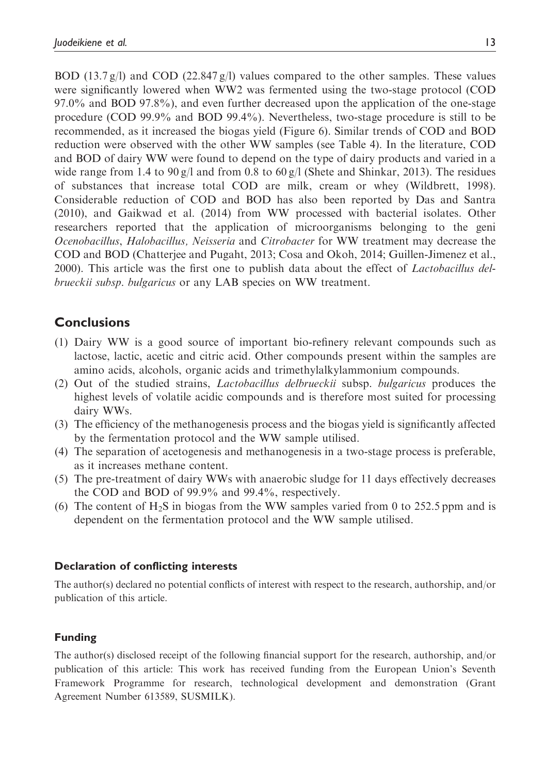BOD (13.7 g/l) and COD (22.847 g/l) values compared to the other samples. These values were significantly lowered when WW2 was fermented using the two-stage protocol (COD 97.0% and BOD 97.8%), and even further decreased upon the application of the one-stage procedure (COD 99.9% and BOD 99.4%). Nevertheless, two-stage procedure is still to be recommended, as it increased the biogas yield (Figure 6). Similar trends of COD and BOD reduction were observed with the other WW samples (see Table 4). In the literature, COD and BOD of dairy WW were found to depend on the type of dairy products and varied in a wide range from 1.4 to 90 g/l and from 0.8 to 60 g/l (Shete and Shinkar, 2013). The residues of substances that increase total COD are milk, cream or whey (Wildbrett, 1998). Considerable reduction of COD and BOD has also been reported by Das and Santra (2010), and Gaikwad et al. (2014) from WW processed with bacterial isolates. Other researchers reported that the application of microorganisms belonging to the geni Ocenobacillus, Halobacillus, Neisseria and Citrobacter for WW treatment may decrease the COD and BOD (Chatterjee and Pugaht, 2013; Cosa and Okoh, 2014; Guillen-Jimenez et al., 2000). This article was the first one to publish data about the effect of *Lactobacillus del*brueckii subsp. bulgaricus or any LAB species on WW treatment.

# **Conclusions**

- (1) Dairy WW is a good source of important bio-refinery relevant compounds such as lactose, lactic, acetic and citric acid. Other compounds present within the samples are amino acids, alcohols, organic acids and trimethylalkylammonium compounds.
- (2) Out of the studied strains, Lactobacillus delbrueckii subsp. bulgaricus produces the highest levels of volatile acidic compounds and is therefore most suited for processing dairy WWs.
- (3) The efficiency of the methanogenesis process and the biogas yield is significantly affected by the fermentation protocol and the WW sample utilised.
- (4) The separation of acetogenesis and methanogenesis in a two-stage process is preferable, as it increases methane content.
- (5) The pre-treatment of dairy WWs with anaerobic sludge for 11 days effectively decreases the COD and BOD of 99.9% and 99.4%, respectively.
- (6) The content of  $H_2S$  in biogas from the WW samples varied from 0 to 252.5 ppm and is dependent on the fermentation protocol and the WW sample utilised.

# Declaration of conflicting interests

The author(s) declared no potential conflicts of interest with respect to the research, authorship, and/or publication of this article.

# Funding

The author(s) disclosed receipt of the following financial support for the research, authorship, and/or publication of this article: This work has received funding from the European Union's Seventh Framework Programme for research, technological development and demonstration (Grant Agreement Number 613589, SUSMILK).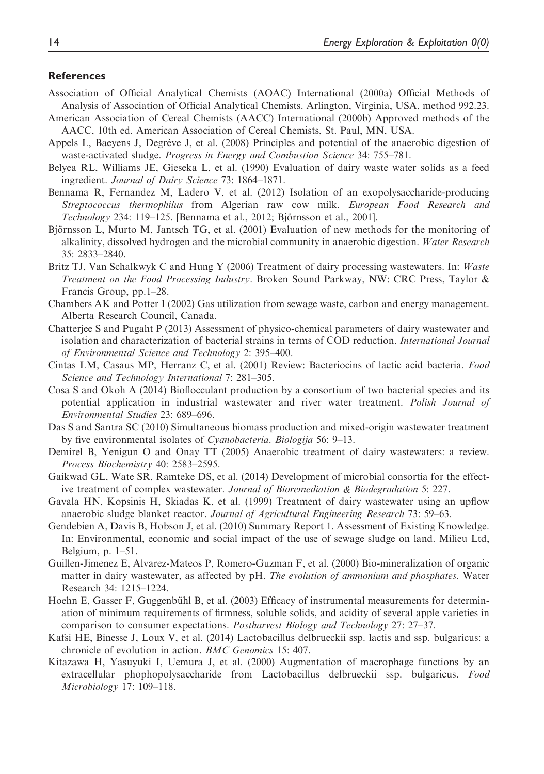#### **References**

- Association of Official Analytical Chemists (AOAC) International (2000a) Official Methods of Analysis of Association of Official Analytical Chemists. Arlington, Virginia, USA, method 992.23.
- American Association of Cereal Chemists (AACC) International (2000b) Approved methods of the AACC, 10th ed. American Association of Cereal Chemists, St. Paul, MN, USA.
- Appels L, Baeyens J, Degrève J, et al. (2008) Principles and potential of the anaerobic digestion of waste-activated sludge. Progress in Energy and Combustion Science 34: 755–781.
- Belyea RL, Williams JE, Gieseka L, et al. (1990) Evaluation of dairy waste water solids as a feed ingredient. Journal of Dairy Science 73: 1864–1871.
- Bennama R, Fernandez M, Ladero V, et al. (2012) Isolation of an exopolysaccharide-producing Streptococcus thermophilus from Algerian raw cow milk. European Food Research and Technology 234: 119–125. [Bennama et al., 2012; Björnsson et al., 2001].
- Björnsson L, Murto M, Jantsch TG, et al. (2001) Evaluation of new methods for the monitoring of alkalinity, dissolved hydrogen and the microbial community in anaerobic digestion. Water Research 35: 2833–2840.
- Britz TJ, Van Schalkwyk C and Hung Y (2006) Treatment of dairy processing wastewaters. In: Waste Treatment on the Food Processing Industry. Broken Sound Parkway, NW: CRC Press, Taylor & Francis Group, pp.1–28.
- Chambers AK and Potter I (2002) Gas utilization from sewage waste, carbon and energy management. Alberta Research Council, Canada.
- Chatterjee S and Pugaht P (2013) Assessment of physico-chemical parameters of dairy wastewater and isolation and characterization of bacterial strains in terms of COD reduction. International Journal of Environmental Science and Technology 2: 395–400.
- Cintas LM, Casaus MP, Herranz C, et al. (2001) Review: Bacteriocins of lactic acid bacteria. Food Science and Technology International 7: 281–305.
- Cosa S and Okoh A (2014) Bioflocculant production by a consortium of two bacterial species and its potential application in industrial wastewater and river water treatment. Polish Journal of Environmental Studies 23: 689–696.
- Das S and Santra SC (2010) Simultaneous biomass production and mixed-origin wastewater treatment by five environmental isolates of Cyanobacteria. Biologija 56: 9–13.
- Demirel B, Yenigun O and Onay TT (2005) Anaerobic treatment of dairy wastewaters: a review. Process Biochemistry 40: 2583–2595.
- Gaikwad GL, Wate SR, Ramteke DS, et al. (2014) Development of microbial consortia for the effective treatment of complex wastewater. Journal of Bioremediation & Biodegradation 5: 227.
- Gavala HN, Kopsinis H, Skiadas K, et al. (1999) Treatment of dairy wastewater using an upflow anaerobic sludge blanket reactor. Journal of Agricultural Engineering Research 73: 59–63.
- Gendebien A, Davis B, Hobson J, et al. (2010) Summary Report 1. Assessment of Existing Knowledge. In: Environmental, economic and social impact of the use of sewage sludge on land. Milieu Ltd, Belgium, p. 1–51.
- Guillen-Jimenez E, Alvarez-Mateos P, Romero-Guzman F, et al. (2000) Bio-mineralization of organic matter in dairy wastewater, as affected by pH. The evolution of ammonium and phosphates. Water Research 34: 1215–1224.
- Hoehn E, Gasser F, Guggenbühl B, et al. (2003) Efficacy of instrumental measurements for determination of minimum requirements of firmness, soluble solids, and acidity of several apple varieties in comparison to consumer expectations. Postharvest Biology and Technology 27: 27–37.
- Kafsi HE, Binesse J, Loux V, et al. (2014) Lactobacillus delbrueckii ssp. lactis and ssp. bulgaricus: a chronicle of evolution in action. BMC Genomics 15: 407.
- Kitazawa H, Yasuyuki I, Uemura J, et al. (2000) Augmentation of macrophage functions by an extracellular phophopolysaccharide from Lactobacillus delbrueckii ssp. bulgaricus. Food Microbiology 17: 109–118.